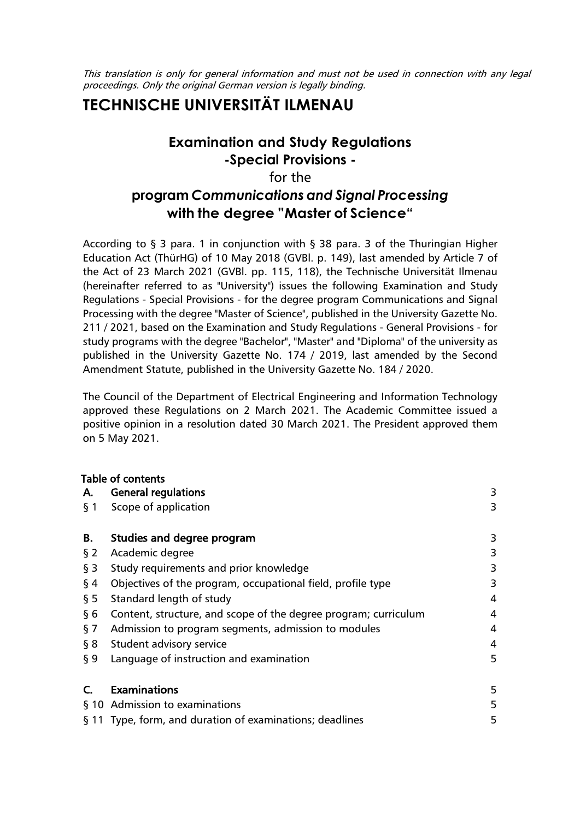This translation is only for general information and must not be used in connection with any legal proceedings. Only the original German version is legally binding.

# **TECHNISCHE UNIVERSITÄT ILMENAU**

## **Examination and Study Regulations -Special Provisions**  for the **program** *Communications and Signal Processing* **with the degree "Master of Science"**

According to § 3 para. 1 in conjunction with § 38 para. 3 of the Thuringian Higher Education Act (ThürHG) of 10 May 2018 (GVBl. p. 149), last amended by Article 7 of the Act of 23 March 2021 (GVBl. pp. 115, 118), the Technische Universität Ilmenau (hereinafter referred to as "University") issues the following Examination and Study Regulations - Special Provisions - for the degree program Communications and Signal Processing with the degree "Master of Science", published in the University Gazette No. 211 / 2021, based on the Examination and Study Regulations - General Provisions - for study programs with the degree "Bachelor", "Master" and "Diploma" of the university as published in the University Gazette No. 174 / 2019, last amended by the Second Amendment Statute, published in the University Gazette No. 184 / 2020.

The Council of the Department of Electrical Engineering and Information Technology approved these Regulations on 2 March 2021. The Academic Committee issued a positive opinion in a resolution dated 30 March 2021. The President approved them on 5 May 2021.

|        | Table of contents                                               |   |
|--------|-----------------------------------------------------------------|---|
| Α.     | <b>General regulations</b>                                      | 3 |
| $\S$ 1 | Scope of application                                            | 3 |
|        |                                                                 |   |
| В.     | Studies and degree program                                      | 3 |
| $\S$ 2 | Academic degree                                                 | 3 |
| $\S$ 3 | Study requirements and prior knowledge                          | 3 |
| § 4    | Objectives of the program, occupational field, profile type     | 3 |
| $\S5$  | Standard length of study                                        | 4 |
| § 6    | Content, structure, and scope of the degree program; curriculum | 4 |
| $\S$ 7 | Admission to program segments, admission to modules             | 4 |
| § 8    | Student advisory service                                        | 4 |
| § 9    | Language of instruction and examination                         | 5 |
|        |                                                                 |   |
| C.     | <b>Examinations</b>                                             | 5 |
|        | § 10 Admission to examinations                                  | 5 |
|        | § 11 Type, form, and duration of examinations; deadlines        | 5 |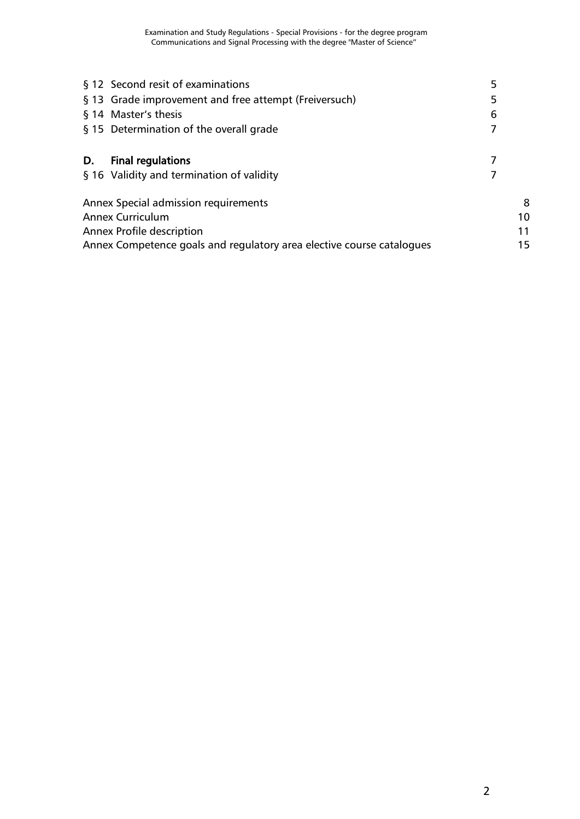|                                             | § 12 Second resit of examinations                                     | 5  |  |
|---------------------------------------------|-----------------------------------------------------------------------|----|--|
|                                             | § 13 Grade improvement and free attempt (Freiversuch)                 | 5  |  |
|                                             | § 14 Master's thesis                                                  | 6  |  |
|                                             | § 15 Determination of the overall grade                               | 7  |  |
| D.                                          | <b>Final regulations</b>                                              |    |  |
|                                             | § 16 Validity and termination of validity                             |    |  |
| <b>Annex Special admission requirements</b> | 8                                                                     |    |  |
|                                             | <b>Annex Curriculum</b>                                               | 10 |  |
|                                             | <b>Annex Profile description</b>                                      | 11 |  |
|                                             | Annex Competence goals and regulatory area elective course catalogues | 15 |  |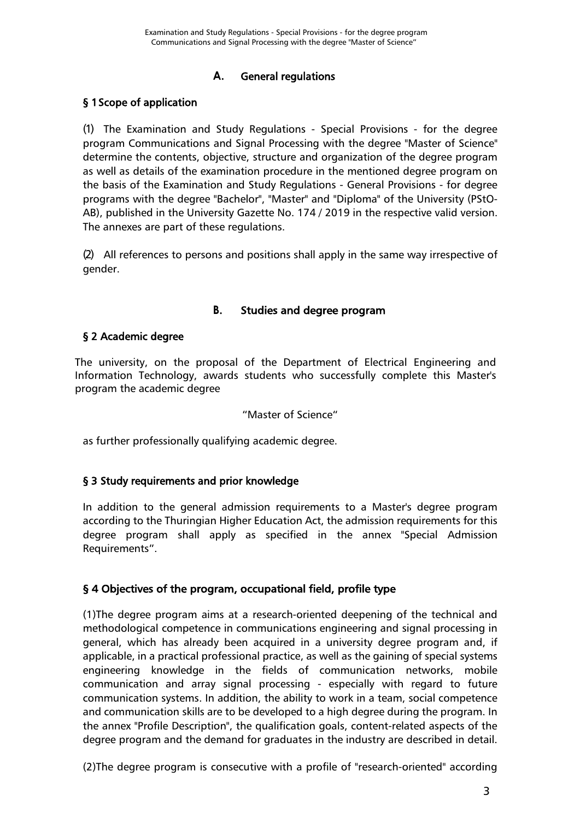#### **A.** General regulations

#### <span id="page-2-1"></span><span id="page-2-0"></span>§ 1 Scope of application

(1) The Examination and Study Regulations - Special Provisions - for the degree program Communications and Signal Processing with the degree "Master of Science" determine the contents, objective, structure and organization of the degree program as well as details of the examination procedure in the mentioned degree program on the basis of the Examination and Study Regulations - General Provisions - for degree programs with the degree "Bachelor", "Master" and "Diploma" of the University (PStO-AB), published in the University Gazette No. 174 / 2019 in the respective valid version. The annexes are part of these regulations.

(2) All references to persons and positions shall apply in the same way irrespective of gender.

#### **B.** Studies and degree program

#### <span id="page-2-3"></span><span id="page-2-2"></span>§ 2 Academic degree

The university, on the proposal of the Department of Electrical Engineering and Information Technology, awards students who successfully complete this Master's program the academic degree

#### "Master of Science"

as further professionally qualifying academic degree.

#### <span id="page-2-4"></span>§ 3 Study requirements and prior knowledge

In addition to the general admission requirements to a Master's degree program according to the Thuringian Higher Education Act, the admission requirements for this degree program shall apply as specified in the annex "Special Admission Requirements".

#### <span id="page-2-5"></span>§ 4 Objectives of the program, occupational field, profile type

(1)The degree program aims at a research-oriented deepening of the technical and methodological competence in communications engineering and signal processing in general, which has already been acquired in a university degree program and, if applicable, in a practical professional practice, as well as the gaining of special systems engineering knowledge in the fields of communication networks, mobile communication and array signal processing - especially with regard to future communication systems. In addition, the ability to work in a team, social competence and communication skills are to be developed to a high degree during the program. In the annex "Profile Description", the qualification goals, content-related aspects of the degree program and the demand for graduates in the industry are described in detail.

(2)The degree program is consecutive with a profile of "research-oriented" according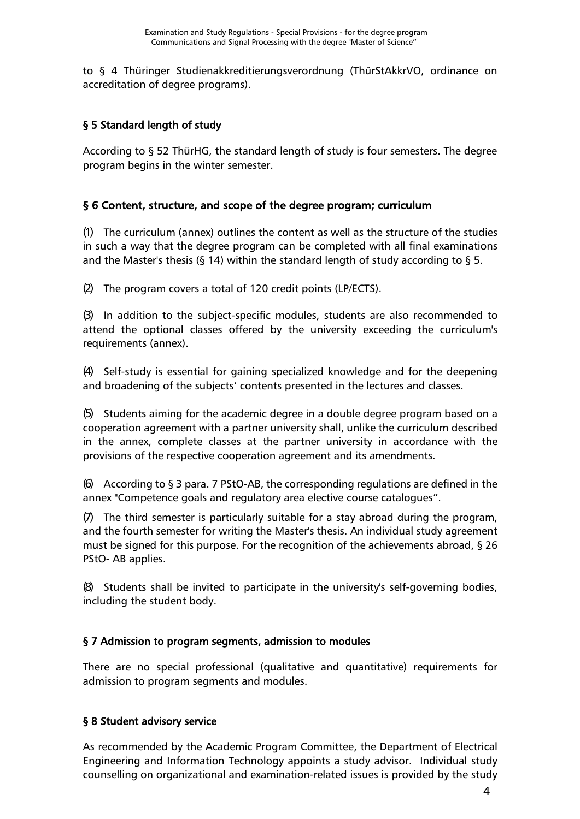to § 4 Thüringer Studienakkreditierungsverordnung (ThürStAkkrVO, ordinance on accreditation of degree programs).

#### <span id="page-3-0"></span>§ 5 Standard length of study

According to § 52 ThürHG, the standard length of study is four semesters. The degree program begins in the winter semester.

#### <span id="page-3-1"></span>§ 6 Content, structure, and scope of the degree program; curriculum

(1) The curriculum (annex) outlines the content as well as the structure of the studies in such a way that the degree program can be completed with all final examinations and the Master's thesis (§ 14) within the standard length of study according to § 5.

(2) The program covers a total of 120 credit points (LP/ECTS).

(3) In addition to the subject-specific modules, students are also recommended to attend the optional classes offered by the university exceeding the curriculum's requirements (annex).

(4) Self-study is essential for gaining specialized knowledge and for the deepening and broadening of the subjects' contents presented in the lectures and classes.

(5) Students aiming for the academic degree in a double degree program based on a cooperation agreement with a partner university shall, unlike the curriculum described in the annex, complete classes at the partner university in accordance with the provisions of the respective cooperation agreement and its amendments.

(6) According to  $\S$  3 para. 7 PStO-AB, the corresponding regulations are defined in the annex "Competence goals and regulatory area elective course catalogues".

(7) The third semester is particularly suitable for a stay abroad during the program, and the fourth semester for writing the Master's thesis. An individual study agreement must be signed for this purpose. For the recognition of the achievements abroad, § 26 PStO- AB applies.

(8) Students shall be invited to participate in the university's self-governing bodies, including the student body.

#### <span id="page-3-2"></span>§ 7 Admission to program segments, admission to modules

There are no special professional (qualitative and quantitative) requirements for admission to program segments and modules.

#### <span id="page-3-3"></span>§ 8 Student advisory service

As recommended by the Academic Program Committee, the Department of Electrical Engineering and Information Technology appoints a study advisor. Individual study counselling on organizational and examination-related issues is provided by the study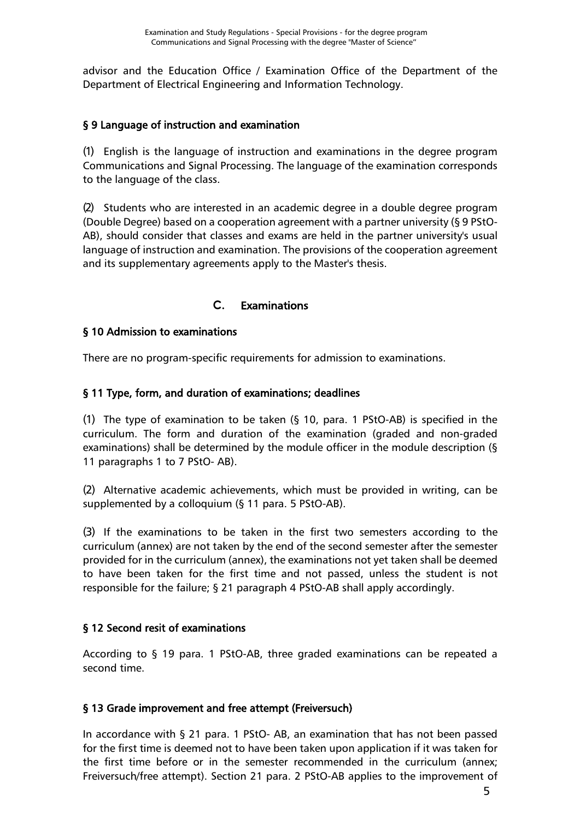advisor and the Education Office / Examination Office of the Department of the Department of Electrical Engineering and Information Technology.

#### <span id="page-4-0"></span>§ 9 Language of instruction and examination

(1) English is the language of instruction and examinations in the degree program Communications and Signal Processing. The language of the examination corresponds to the language of the class.

(2) Students who are interested in an academic degree in a double degree program (Double Degree) based on a cooperation agreement with a partner university (§ 9 PStO-AB), should consider that classes and exams are held in the partner university's usual language of instruction and examination. The provisions of the cooperation agreement and its supplementary agreements apply to the Master's thesis.

#### **C.** Examinations

#### <span id="page-4-2"></span><span id="page-4-1"></span>§ 10 Admission to examinations

<span id="page-4-3"></span>There are no program-specific requirements for admission to examinations.

#### § 11 Type, form, and duration of examinations; deadlines

(1) The type of examination to be taken (§ 10, para. 1 PStO-AB) is specified in the curriculum. The form and duration of the examination (graded and non-graded examinations) shall be determined by the module officer in the module description (§ 11 paragraphs 1 to 7 PStO- AB).

(2) Alternative academic achievements, which must be provided in writing, can be supplemented by a colloquium (§ 11 para. 5 PStO-AB).

(3) If the examinations to be taken in the first two semesters according to the curriculum (annex) are not taken by the end of the second semester after the semester provided for in the curriculum (annex), the examinations not yet taken shall be deemed to have been taken for the first time and not passed, unless the student is not responsible for the failure; § 21 paragraph 4 PStO-AB shall apply accordingly.

#### <span id="page-4-4"></span>§ 12 Second resit of examinations

According to § 19 para. 1 PStO-AB, three graded examinations can be repeated a second time.

#### <span id="page-4-5"></span>§ 13 Grade improvement and free attempt (Freiversuch)

In accordance with § 21 para. 1 PStO- AB, an examination that has not been passed for the first time is deemed not to have been taken upon application if it was taken for the first time before or in the semester recommended in the curriculum (annex; Freiversuch/free attempt). Section 21 para. 2 PStO-AB applies to the improvement of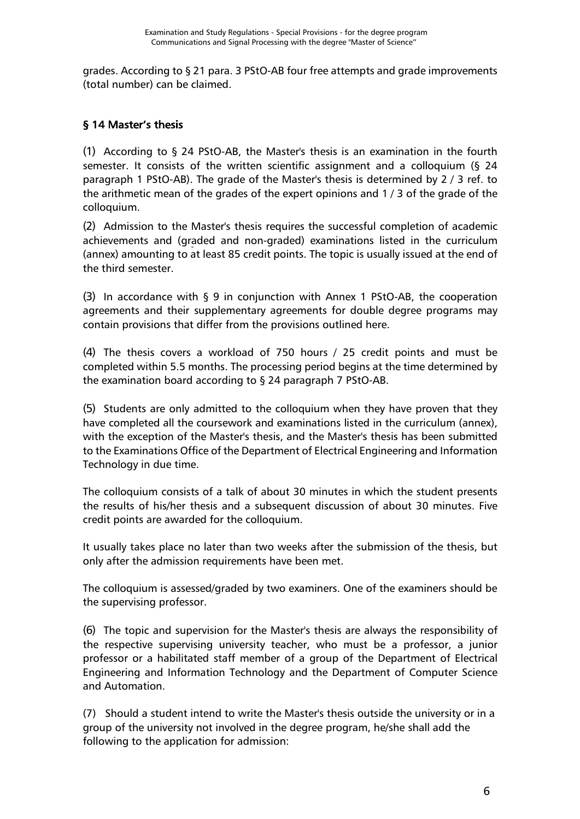grades. According to § 21 para. 3 PStO-AB four free attempts and grade improvements (total number) can be claimed.

#### <span id="page-5-0"></span>§ 14 Master's thesis

(1) According to § 24 PStO-AB, the Master's thesis is an examination in the fourth semester. It consists of the written scientific assignment and a colloquium (§ 24 paragraph 1 PStO-AB). The grade of the Master's thesis is determined by 2 / 3 ref. to the arithmetic mean of the grades of the expert opinions and 1 / 3 of the grade of the colloquium.

(2) Admission to the Master's thesis requires the successful completion of academic achievements and (graded and non-graded) examinations listed in the curriculum (annex) amounting to at least 85 credit points. The topic is usually issued at the end of the third semester.

(3) In accordance with § 9 in conjunction with Annex 1 PStO-AB, the cooperation agreements and their supplementary agreements for double degree programs may contain provisions that differ from the provisions outlined here.

(4) The thesis covers a workload of 750 hours / 25 credit points and must be completed within 5.5 months. The processing period begins at the time determined by the examination board according to § 24 paragraph 7 PStO-AB.

(5) Students are only admitted to the colloquium when they have proven that they have completed all the coursework and examinations listed in the curriculum (annex), with the exception of the Master's thesis, and the Master's thesis has been submitted to the Examinations Office of the Department of Electrical Engineering and Information Technology in due time.

The colloquium consists of a talk of about 30 minutes in which the student presents the results of his/her thesis and a subsequent discussion of about 30 minutes. Five credit points are awarded for the colloquium.

It usually takes place no later than two weeks after the submission of the thesis, but only after the admission requirements have been met.

The colloquium is assessed/graded by two examiners. One of the examiners should be the supervising professor.

(6) The topic and supervision for the Master's thesis are always the responsibility of the respective supervising university teacher, who must be a professor, a junior professor or a habilitated staff member of a group of the Department of Electrical Engineering and Information Technology and the Department of Computer Science and Automation.

(7) Should a student intend to write the Master's thesis outside the university or in a group of the university not involved in the degree program, he/she shall add the following to the application for admission: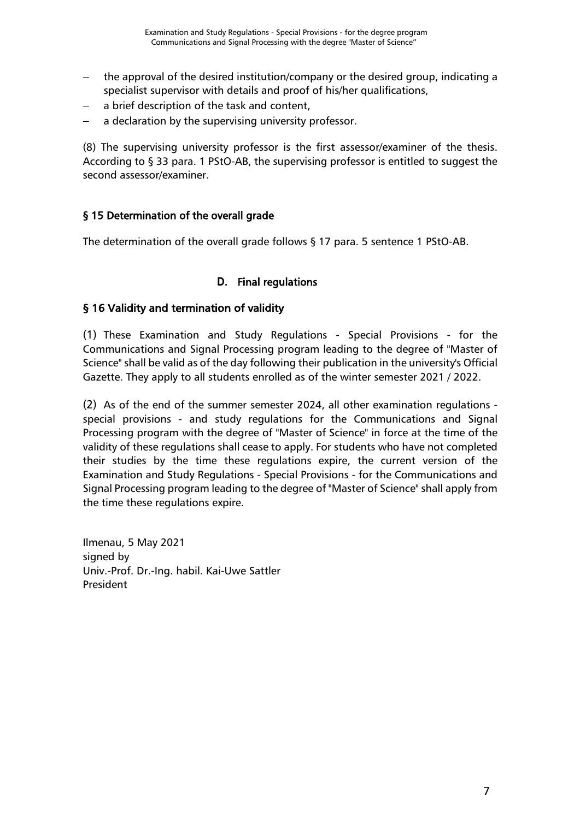- the approval of the desired institution/company or the desired group, indicating a specialist supervisor with details and proof of his/her qualifications,
- a brief description of the task and content,
- a declaration by the supervising university professor.

(8) The supervising university professor is the first assessor/examiner of the thesis. According to § 33 para. 1 PStO-AB, the supervising professor is entitled to suggest the second assessor/examiner.

#### <span id="page-6-0"></span>§ 15 Determination of the overall grade

The determination of the overall grade follows § 17 para. 5 sentence 1 PStO-AB.

#### **D.** Final regulations

#### <span id="page-6-2"></span><span id="page-6-1"></span>§ 16 Validity and termination of validity

(1) These Examination and Study Regulations - Special Provisions - for the Communications and Signal Processing program leading to the degree of "Master of Science" shall be valid as of the day following their publication in the university's Official Gazette. They apply to all students enrolled as of the winter semester 2021 / 2022.

(2) As of the end of the summer semester 2024, all other examination regulations special provisions - and study regulations for the Communications and Signal Processing program with the degree of "Master of Science" in force at the time of the validity of these regulations shall cease to apply. For students who have not completed their studies by the time these regulations expire, the current version of the Examination and Study Regulations - Special Provisions - for the Communications and Signal Processing program leading to the degree of "Master of Science" shall apply from the time these regulations expire.

Ilmenau, 5 May 2021 signed by Univ.-Prof. Dr.-Ing. habil. Kai-Uwe Sattler President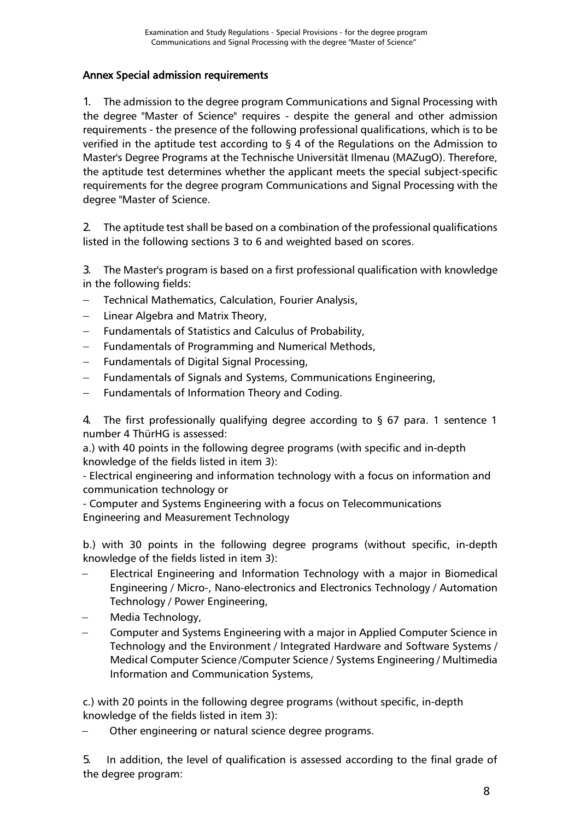#### <span id="page-7-0"></span>Annex Special admission requirements

1. The admission to the degree program Communications and Signal Processing with the degree "Master of Science" requires - despite the general and other admission requirements - the presence of the following professional qualifications, which is to be verified in the aptitude test according to § 4 of the Regulations on the Admission to Master's Degree Programs at the Technische Universität Ilmenau (MAZugO). Therefore, the aptitude test determines whether the applicant meets the special subject-specific requirements for the degree program Communications and Signal Processing with the degree "Master of Science.

2. The aptitude test shall be based on a combination of the professional qualifications listed in the following sections 3 to 6 and weighted based on scores.

3. The Master's program is based on a first professional qualification with knowledge in the following fields:

- − Technical Mathematics, Calculation, Fourier Analysis,
- Linear Algebra and Matrix Theory,
- − Fundamentals of Statistics and Calculus of Probability,
- − Fundamentals of Programming and Numerical Methods,
- − Fundamentals of Digital Signal Processing,
- − Fundamentals of Signals and Systems, Communications Engineering,
- Fundamentals of Information Theory and Coding.

4. The first professionally qualifying degree according to § 67 para. 1 sentence 1 number 4 ThürHG is assessed:

a.) with 40 points in the following degree programs (with specific and in-depth knowledge of the fields listed in item 3):

- Electrical engineering and information technology with a focus on information and communication technology or

- Computer and Systems Engineering with a focus on Telecommunications Engineering and Measurement Technology

b.) with 30 points in the following degree programs (without specific, in-depth knowledge of the fields listed in item 3):

- Electrical Engineering and Information Technology with a major in Biomedical Engineering / Micro-, Nano-electronics and Electronics Technology / Automation Technology / Power Engineering,
- − Media Technology,
- − Computer and Systems Engineering with a major in Applied Computer Science in Technology and the Environment / Integrated Hardware and Software Systems / Medical Computer Science /Computer Science / Systems Engineering / Multimedia Information and Communication Systems,

c.) with 20 points in the following degree programs (without specific, in-depth knowledge of the fields listed in item 3):

Other engineering or natural science degree programs.

5. In addition, the level of qualification is assessed according to the final grade of the degree program: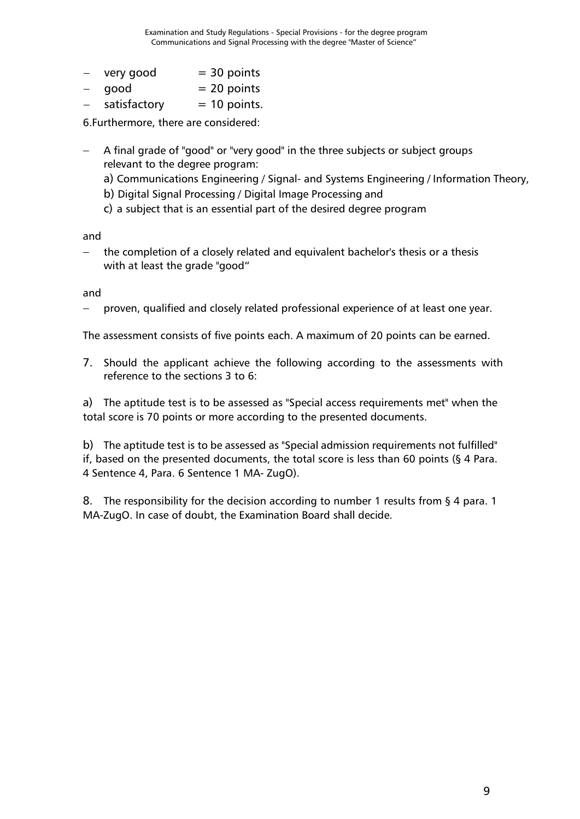- $-$  very good  $= 30$  points
- $good$  = 20 points
- $satisfactory = 10 points.$

6.Furthermore, there are considered:

− A final grade of "good" or "very good" in the three subjects or subject groups relevant to the degree program:

a) Communications Engineering / Signal- and Systems Engineering / Information Theory,

- b) Digital Signal Processing / Digital Image Processing and
- c) a subject that is an essential part of the desired degree program

and

the completion of a closely related and equivalent bachelor's thesis or a thesis with at least the grade "good"

and

proven, qualified and closely related professional experience of at least one year.

The assessment consists of five points each. A maximum of 20 points can be earned.

7. Should the applicant achieve the following according to the assessments with reference to the sections 3 to 6:

a) The aptitude test is to be assessed as "Special access requirements met" when the total score is 70 points or more according to the presented documents.

b) The aptitude test is to be assessed as "Special admission requirements not fulfilled" if, based on the presented documents, the total score is less than 60 points (§ 4 Para. 4 Sentence 4, Para. 6 Sentence 1 MA- ZugO).

8. The responsibility for the decision according to number 1 results from  $\S$  4 para. 1 MA-ZugO. In case of doubt, the Examination Board shall decide.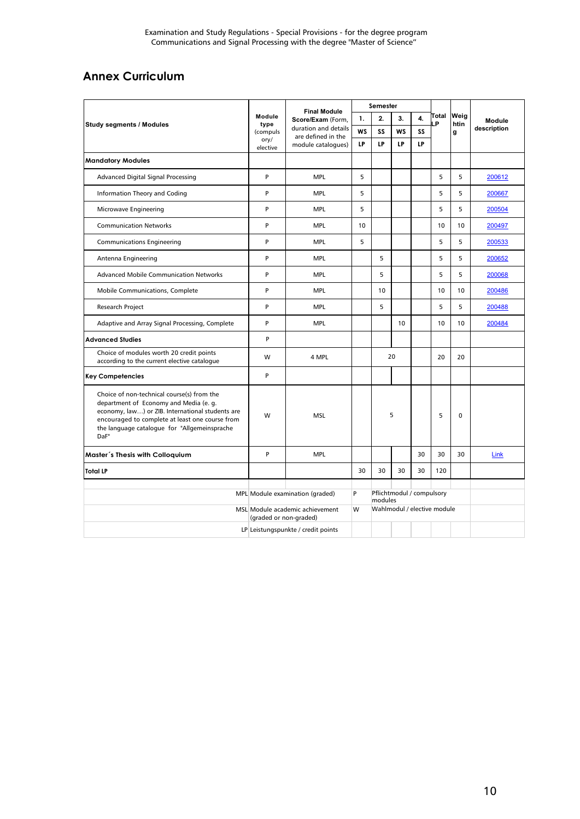## <span id="page-9-0"></span>**Annex Curriculum**

|                                                                                                                                                                                                                                                     | Module<br>type<br>(compuls<br>ory/<br>elective | <b>Final Module</b><br>Score/Exam (Form,<br>duration and details<br>are defined in the<br>module catalogues) | Semester  |                                      |           |    |                             |              |             |
|-----------------------------------------------------------------------------------------------------------------------------------------------------------------------------------------------------------------------------------------------------|------------------------------------------------|--------------------------------------------------------------------------------------------------------------|-----------|--------------------------------------|-----------|----|-----------------------------|--------------|-------------|
| <b>Study segments / Modules</b>                                                                                                                                                                                                                     |                                                |                                                                                                              | 1.        | 2.                                   | 3.        |    | Total<br>LP                 | Weig<br>htin | Module      |
|                                                                                                                                                                                                                                                     |                                                |                                                                                                              | <b>WS</b> | SS                                   | <b>WS</b> | SS |                             | g            | description |
|                                                                                                                                                                                                                                                     |                                                |                                                                                                              | LP        | LP                                   | LP        | LP |                             |              |             |
| <b>Mandatory Modules</b>                                                                                                                                                                                                                            |                                                |                                                                                                              |           |                                      |           |    |                             |              |             |
| Advanced Digital Signal Processing                                                                                                                                                                                                                  | P                                              | <b>MPL</b>                                                                                                   | 5         |                                      |           |    | 5                           | 5            | 200612      |
| Information Theory and Coding                                                                                                                                                                                                                       | P                                              | <b>MPL</b>                                                                                                   | 5         |                                      |           |    | 5                           | 5            | 200667      |
| Microwave Engineering                                                                                                                                                                                                                               | P                                              | <b>MPL</b>                                                                                                   | 5         |                                      |           |    | 5                           | 5            | 200504      |
| <b>Communication Networks</b>                                                                                                                                                                                                                       | P                                              | <b>MPL</b>                                                                                                   | 10        |                                      |           |    | 10                          | 10           | 200497      |
| <b>Communications Engineering</b>                                                                                                                                                                                                                   | P                                              | <b>MPL</b>                                                                                                   | 5         |                                      |           |    | 5                           | 5            | 200533      |
| Antenna Engineering                                                                                                                                                                                                                                 | P                                              | <b>MPL</b>                                                                                                   |           | 5                                    |           |    | 5                           | 5            | 200652      |
| <b>Advanced Mobile Communication Networks</b>                                                                                                                                                                                                       | P                                              | <b>MPL</b>                                                                                                   |           | 5                                    |           |    | 5                           | 5            | 200068      |
| Mobile Communications, Complete                                                                                                                                                                                                                     | P                                              | <b>MPL</b>                                                                                                   |           | 10                                   |           |    | 10                          | 10           | 200486      |
| <b>Research Project</b>                                                                                                                                                                                                                             | P                                              | <b>MPL</b>                                                                                                   |           | 5                                    |           |    | 5                           | 5            | 200488      |
| Adaptive and Array Signal Processing, Complete                                                                                                                                                                                                      | P                                              | <b>MPL</b>                                                                                                   |           |                                      | 10        |    | 10                          | 10           | 200484      |
| <b>Advanced Studies</b>                                                                                                                                                                                                                             | P                                              |                                                                                                              |           |                                      |           |    |                             |              |             |
| Choice of modules worth 20 credit points<br>according to the current elective catalogue                                                                                                                                                             | W                                              | 4 MPL                                                                                                        |           | 20                                   |           |    | 20                          | 20           |             |
| <b>Key Competencies</b>                                                                                                                                                                                                                             | P                                              |                                                                                                              |           |                                      |           |    |                             |              |             |
| Choice of non-technical course(s) from the<br>department of Economy and Media (e. g.<br>economy, law) or ZIB. International students are<br>encouraged to complete at least one course from<br>the language catalogue for "Allgemeinsprache<br>DaF" | W                                              | <b>MSL</b>                                                                                                   |           | 5                                    |           |    | 5                           | $\mathbf{0}$ |             |
| Master's Thesis with Colloquium                                                                                                                                                                                                                     | P                                              | <b>MPL</b>                                                                                                   |           |                                      |           | 30 | 30                          | 30           | Link        |
| <b>Total LP</b>                                                                                                                                                                                                                                     |                                                |                                                                                                              | 30        | 30                                   | 30        | 30 | 120                         |              |             |
|                                                                                                                                                                                                                                                     | MPL Module examination (graded)                |                                                                                                              | P         | Pflichtmodul / compulsory<br>modules |           |    |                             |              |             |
|                                                                                                                                                                                                                                                     | (graded or non-graded)                         | MSL Module academic achievement                                                                              | W         |                                      |           |    | Wahlmodul / elective module |              |             |
|                                                                                                                                                                                                                                                     | LP Leistungspunkte / credit points             |                                                                                                              |           |                                      |           |    |                             |              |             |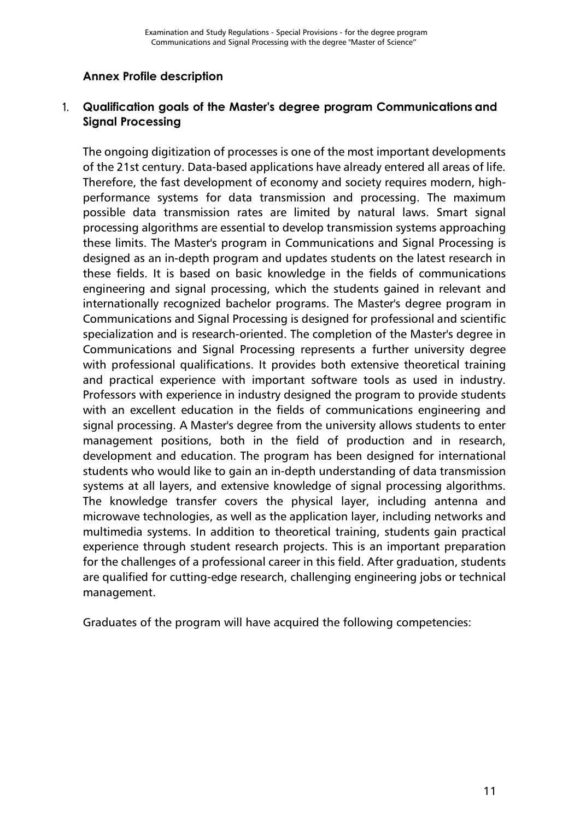#### <span id="page-10-0"></span>**Annex Profile description**

#### 1. **Qualification goals of the Master's degree program Communications and Signal Processing**

The ongoing digitization of processes is one of the most important developments of the 21st century. Data-based applications have already entered all areas of life. Therefore, the fast development of economy and society requires modern, highperformance systems for data transmission and processing. The maximum possible data transmission rates are limited by natural laws. Smart signal processing algorithms are essential to develop transmission systems approaching these limits. The Master's program in Communications and Signal Processing is designed as an in-depth program and updates students on the latest research in these fields. It is based on basic knowledge in the fields of communications engineering and signal processing, which the students gained in relevant and internationally recognized bachelor programs. The Master's degree program in Communications and Signal Processing is designed for professional and scientific specialization and is research-oriented. The completion of the Master's degree in Communications and Signal Processing represents a further university degree with professional qualifications. It provides both extensive theoretical training and practical experience with important software tools as used in industry. Professors with experience in industry designed the program to provide students with an excellent education in the fields of communications engineering and signal processing. A Master's degree from the university allows students to enter management positions, both in the field of production and in research, development and education. The program has been designed for international students who would like to gain an in-depth understanding of data transmission systems at all layers, and extensive knowledge of signal processing algorithms. The knowledge transfer covers the physical layer, including antenna and microwave technologies, as well as the application layer, including networks and multimedia systems. In addition to theoretical training, students gain practical experience through student research projects. This is an important preparation for the challenges of a professional career in this field. After graduation, students are qualified for cutting-edge research, challenging engineering jobs or technical management.

Graduates of the program will have acquired the following competencies: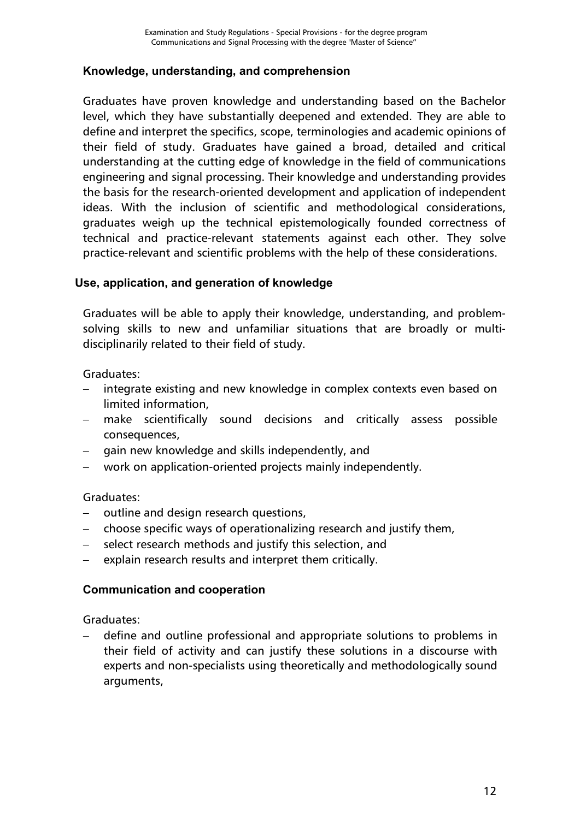#### **Knowledge, understanding, and comprehension**

Graduates have proven knowledge and understanding based on the Bachelor level, which they have substantially deepened and extended. They are able to define and interpret the specifics, scope, terminologies and academic opinions of their field of study. Graduates have gained a broad, detailed and critical understanding at the cutting edge of knowledge in the field of communications engineering and signal processing. Their knowledge and understanding provides the basis for the research-oriented development and application of independent ideas. With the inclusion of scientific and methodological considerations, graduates weigh up the technical epistemologically founded correctness of technical and practice-relevant statements against each other. They solve practice-relevant and scientific problems with the help of these considerations.

#### **Use, application, and generation of knowledge**

Graduates will be able to apply their knowledge, understanding, and problemsolving skills to new and unfamiliar situations that are broadly or multidisciplinarily related to their field of study.

Graduates:

- integrate existing and new knowledge in complex contexts even based on limited information,
- make scientifically sound decisions and critically assess possible consequences,
- gain new knowledge and skills independently, and
- − work on application-oriented projects mainly independently.

#### Graduates:

- − outline and design research questions,
- − choose specific ways of operationalizing research and justify them,
- select research methods and justify this selection, and
- − explain research results and interpret them critically.

#### **Communication and cooperation**

Graduates:

− define and outline professional and appropriate solutions to problems in their field of activity and can justify these solutions in a discourse with experts and non-specialists using theoretically and methodologically sound arguments,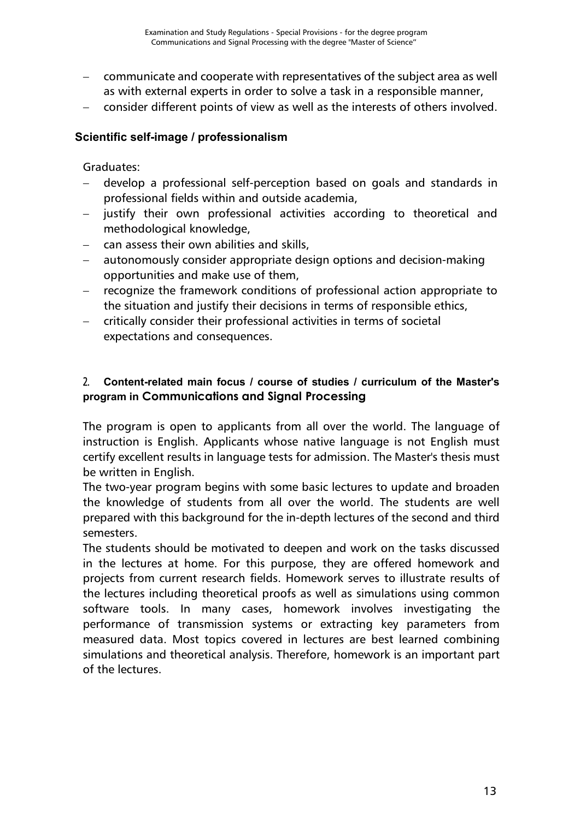- − communicate and cooperate with representatives of the subject area as well as with external experts in order to solve a task in a responsible manner,
- − consider different points of view as well as the interests of others involved.

#### **Scientific self-image / professionalism**

#### Graduates:

- − develop a professional self-perception based on goals and standards in professional fields within and outside academia,
- justify their own professional activities according to theoretical and methodological knowledge,
- − can assess their own abilities and skills,
- autonomously consider appropriate design options and decision-making opportunities and make use of them,
- recognize the framework conditions of professional action appropriate to the situation and justify their decisions in terms of responsible ethics,
- critically consider their professional activities in terms of societal expectations and consequences.

#### 2. **Content-related main focus / course of studies / curriculum of the Master's program in Communications and Signal Processing**

The program is open to applicants from all over the world. The language of instruction is English. Applicants whose native language is not English must certify excellent results in language tests for admission. The Master's thesis must be written in English.

The two-year program begins with some basic lectures to update and broaden the knowledge of students from all over the world. The students are well prepared with this background for the in-depth lectures of the second and third semesters.

The students should be motivated to deepen and work on the tasks discussed in the lectures at home. For this purpose, they are offered homework and projects from current research fields. Homework serves to illustrate results of the lectures including theoretical proofs as well as simulations using common software tools. In many cases, homework involves investigating the performance of transmission systems or extracting key parameters from measured data. Most topics covered in lectures are best learned combining simulations and theoretical analysis. Therefore, homework is an important part of the lectures.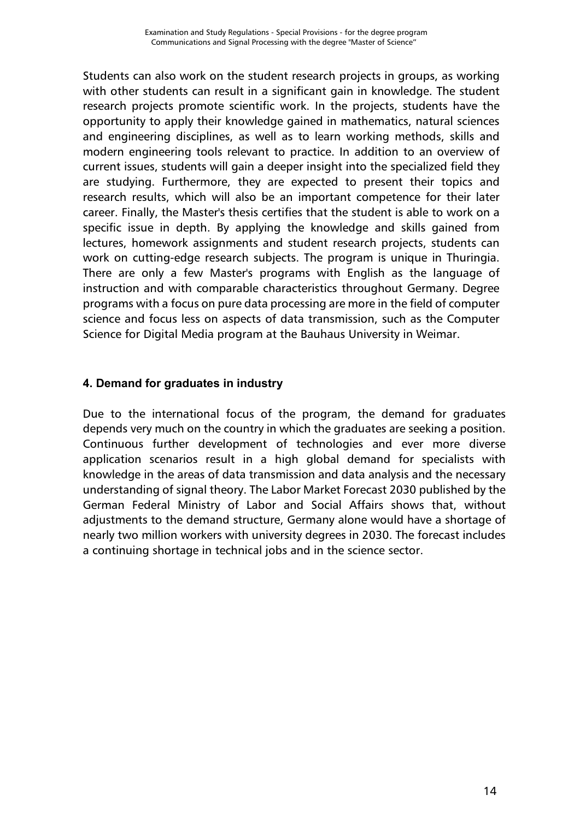Students can also work on the student research projects in groups, as working with other students can result in a significant gain in knowledge. The student research projects promote scientific work. In the projects, students have the opportunity to apply their knowledge gained in mathematics, natural sciences and engineering disciplines, as well as to learn working methods, skills and modern engineering tools relevant to practice. In addition to an overview of current issues, students will gain a deeper insight into the specialized field they are studying. Furthermore, they are expected to present their topics and research results, which will also be an important competence for their later career. Finally, the Master's thesis certifies that the student is able to work on a specific issue in depth. By applying the knowledge and skills gained from lectures, homework assignments and student research projects, students can work on cutting-edge research subjects. The program is unique in Thuringia. There are only a few Master's programs with English as the language of instruction and with comparable characteristics throughout Germany. Degree programs with a focus on pure data processing are more in the field of computer science and focus less on aspects of data transmission, such as the Computer Science for Digital Media program at the Bauhaus University in Weimar.

#### **4. Demand for graduates in industry**

Due to the international focus of the program, the demand for graduates depends very much on the country in which the graduates are seeking a position. Continuous further development of technologies and ever more diverse application scenarios result in a high global demand for specialists with knowledge in the areas of data transmission and data analysis and the necessary understanding of signal theory. The Labor Market Forecast 2030 published by the German Federal Ministry of Labor and Social Affairs shows that, without adjustments to the demand structure, Germany alone would have a shortage of nearly two million workers with university degrees in 2030. The forecast includes a continuing shortage in technical jobs and in the science sector.